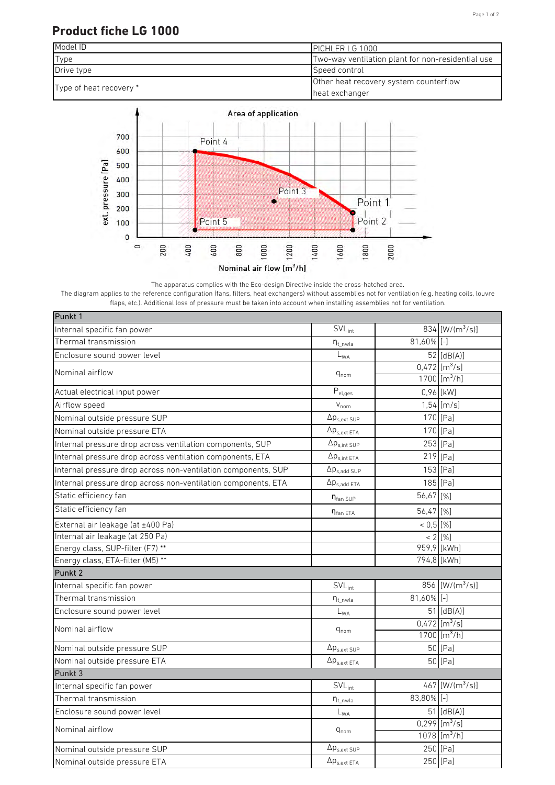## Page 1 of 2

## **Product fiche LG 1000**





The apparatus complies with the Eco-design Directive inside the cross-hatched area.

The diagram applies to the reference configuration (fans, filters, heat exchangers) without assemblies not for ventilation (e.g. heating coils, louvre flaps, etc.). Additional loss of pressure must be taken into account when installing assemblies not for ventilation.

| Punkt 1                                                       |                                         |               |                             |
|---------------------------------------------------------------|-----------------------------------------|---------------|-----------------------------|
| Internal specific fan power                                   | $SVL_{int}$                             |               | 834 [W/(m <sup>3</sup> /s)] |
| Thermal transmission                                          | $n_{t\_n wla}$                          | $81,60\%$ [-] |                             |
| Enclosure sound power level                                   | $L_{WA}$                                |               | $52$ [dB(A)]                |
| Nominal airflow                                               | $q_{nom}$                               |               | $0,472$ [m <sup>3</sup> /s] |
|                                                               |                                         |               | $1700$ [m <sup>3</sup> /h]  |
| Actual electrical input power                                 | $\overline{\mathsf{P}}_{\text{el,ges}}$ |               | 0.96 [kW]                   |
| Airflow speed                                                 | $V_{nom}$                               |               | $1,54$ [m/s]                |
| Nominal outside pressure SUP                                  | $\Delta p_{s,ext\,SUP}$                 |               | 170 [Pa]                    |
| Nominal outside pressure ETA                                  | $\Delta p_{s,ext ETA}$                  |               | 170 [Pa]                    |
| Internal pressure drop across ventilation components, SUP     | $\Delta p_{s,int SUP}$                  |               | 253 [Pa]                    |
| Internal pressure drop across ventilation components, ETA     | $\Delta p_{s,int ETA}$                  |               | $219$ [Pa]                  |
| Internal pressure drop across non-ventilation components, SUP | $\Delta p_{s,add~SUP}$                  |               | 153 [Pa]                    |
| Internal pressure drop across non-ventilation components, ETA | $\Delta p_{s,add ETA}$                  |               | 185 [Pa]                    |
| Static efficiency fan                                         | nfan SUP                                | 56,67 [%]     |                             |
| Static efficiency fan                                         | $\eta_{\text{fan ETA}}$                 | 56,47 [%]     |                             |
| External air leakage (at ±400 Pa)                             |                                         | $< 0.5$ [%]   |                             |
| Internal air leakage (at 250 Pa)                              |                                         |               | $< 2$ [%]                   |
| Energy class, SUP-filter (F7) **                              |                                         |               | 959,9 [kWh]                 |
| Energy class, ETA-filter (M5) **                              |                                         |               | 794,8 [kWh]                 |
| Punkt 2                                                       |                                         |               |                             |
| Internal specific fan power                                   | SVL <sub>int</sub>                      |               | 856 [W/( $m^3$ /s)]         |
| Thermal transmission                                          | $n_{t}$ <sub>nwla</sub>                 | $81,60\%$ [-] |                             |
| Enclosure sound power level                                   | $L_{WA}$                                |               | $51$ [dB(A)]                |
| Nominal airflow                                               | $q_{nom}$                               |               | $0.472$ [m <sup>3</sup> /s] |
|                                                               |                                         |               | $1700$ [m <sup>3</sup> /h]  |
| Nominal outside pressure SUP                                  | $\Delta p_{s,ext SUP}$                  |               | 50 [Pa]                     |
| Nominal outside pressure ETA                                  | $\Delta p_{s,ext ETA}$                  |               | 50 [Pa]                     |
| Punkt 3                                                       |                                         |               |                             |
| Internal specific fan power                                   | $SVL_{int}$                             |               | 467 $[W/(m^3/s)]$           |
| Thermal transmission                                          | $\eta_{t\_nwla}$                        | 83,80% [-]    |                             |
| Enclosure sound power level                                   | $L_{WA}$                                |               | $51$ [dB(A)]                |
| Nominal airflow                                               | $q_{nom}$                               |               | $0,299$ [m <sup>3</sup> /s] |
|                                                               |                                         |               | $1078$ [m <sup>3</sup> /h]  |
| Nominal outside pressure SUP                                  | $\Delta p_{s,ext\,SUP}$                 |               | 250 [Pa]                    |
| Nominal outside pressure ETA                                  | $\Delta p_{s,ext\ ETA}$                 |               | 250 [Pa]                    |